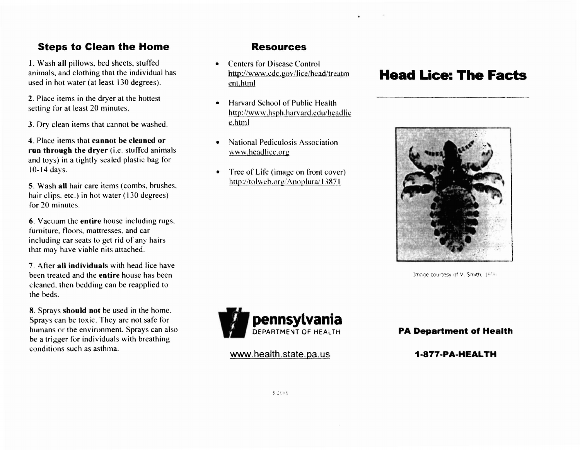## **Steps to Clean the Home**

1. Wash all pillows, bed sheets, stuffed animals, and clothing that the individual has used in hot water (at least 130 degrees).

2. Place items in the dryer at the hottest setting for at least 20 minutes.

3. Dry clean items that cannot be washed.

4. Place items that **cannot be cleaned or run through the dryer** (i.e. stuffed animals and toys) in a tightly scaled plastic bag for 10-14 days.

5. Wash **all** hair care items (combs. brushes. hair clips. etc.) in hot water (130 degrees) for 20 minutes.

6. Vacuum the **entire** house including rugs. furniture, floors. mattresses. and car including car seats to get rid of any hairs that may have viable nits attached.

7. After **all individuals** with head lice have been treated and the **entire** house has been cleaned. then bedding can be reapplied to the beds.

8. Sprays **should not** be used in the home. Sprays can be toxic. They are not safe for humans or the environment. Sprays can also be a trigger for individuals with breathing conditions such as asthma.

### **Resources**

- Centers for Disease Control http://www.cdc.gov/lice/head/treatm ent.html
- Harvard School of Public Health http://www.hsph.harvard.edu/headlic e.html
- National Pediculosis Association \\'ww.heaJlicc.org
- Tree of Life (image on front cover) http://tolweb.org/Anoplura/13871

# **Head Lice: The Facts**



Image courtesy of V. Smith, 1996



www.health.state.pa.us

**PA Department of Health**

**1-877-PA-HEALTH**